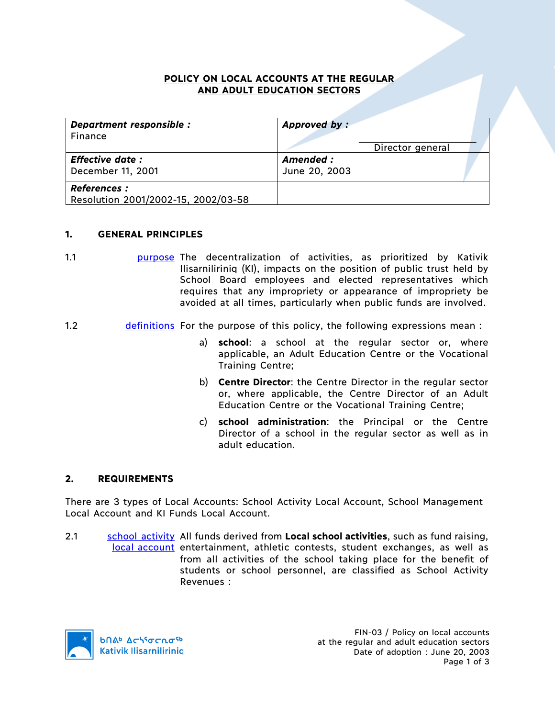### **POLICY ON LOCAL ACCOUNTS AT THE REGULAR AND ADULT EDUCATION SECTORS**

| Department responsible :<br>Finance | Approved by:  |                  |  |
|-------------------------------------|---------------|------------------|--|
|                                     |               | Director general |  |
| <b>Effective date:</b>              | Amended:      |                  |  |
| December 11, 2001                   | June 20, 2003 |                  |  |
| <b>References :</b>                 |               |                  |  |
| Resolution 2001/2002-15, 2002/03-58 |               |                  |  |

#### **1. GENERAL PRINCIPLES**

- 1.1 purpose The decentralization of activities, as prioritized by Kativik Ilisarniliriniq (KI), impacts on the position of public trust held by School Board employees and elected representatives which requires that any impropriety or appearance of impropriety be avoided at all times, particularly when public funds are involved.
- 1.2 definitions For the purpose of this policy, the following expressions mean :
	- a) **school**: a school at the regular sector or, where applicable, an Adult Education Centre or the Vocational Training Centre;
	- b) **Centre Director**: the Centre Director in the regular sector or, where applicable, the Centre Director of an Adult Education Centre or the Vocational Training Centre;
	- c) **school administration**: the Principal or the Centre Director of a school in the regular sector as well as in adult education.

#### **2. REQUIREMENTS**

There are 3 types of Local Accounts: School Activity Local Account, School Management Local Account and KI Funds Local Account.

2.1 school activity All funds derived from Local school activities, such as fund raising, local account entertainment, athletic contests, student exchanges, as well as from all activities of the school taking place for the benefit of students or school personnel, are classified as School Activity Revenues :

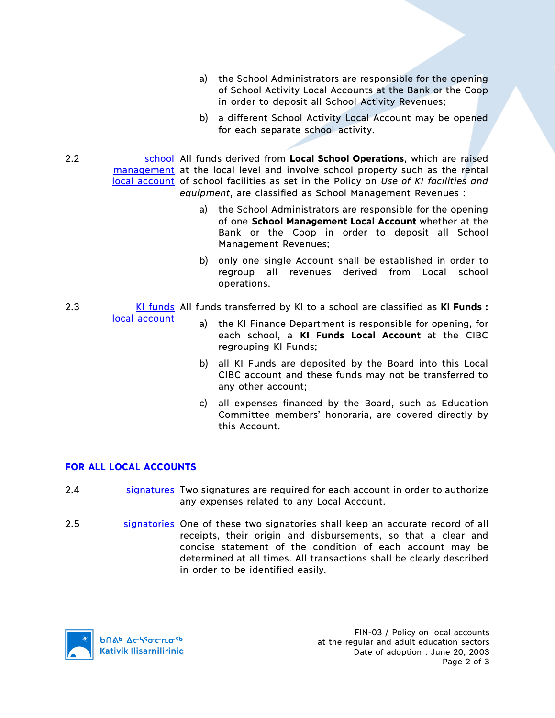- a) the School Administrators are responsible for the opening of School Activity Local Accounts at the Bank or the Coop in order to deposit all School Activity Revenues;
- b) a different School Activity Local Account may be opened for each separate school activity.

2.2 school All funds derived from **Local School Operations**, which are raised management at the local level and involve school property such as the rental local account of school facilities as set in the Policy on *Use of KI facilities and equipment*, are classified as School Management Revenues :

- a) the School Administrators are responsible for the opening of one **School Management Local Account** whether at the Bank or the Coop in order to deposit all School Management Revenues;
- b) only one single Account shall be established in order to regroup all revenues derived from Local school operations.
- 2.3 KI funds All funds transferred by KI to a school are classified as **KI Funds :**
	- a) the KI Finance Department is responsible for opening, for each school, a **KI Funds Local Account** at the CIBC regrouping KI Funds;
	- b) all KI Funds are deposited by the Board into this Local CIBC account and these funds may not be transferred to any other account;
	- c) all expenses financed by the Board, such as Education Committee members' honoraria, are covered directly by this Account.

## **FOR ALL LOCAL ACCOUNTS**

local account

- 2.4 signatures Two signatures are required for each account in order to authorize any expenses related to any Local Account.
- 2.5 signatories One of these two signatories shall keep an accurate record of all receipts, their origin and disbursements, so that a clear and concise statement of the condition of each account may be determined at all times. All transactions shall be clearly described in order to be identified easily.